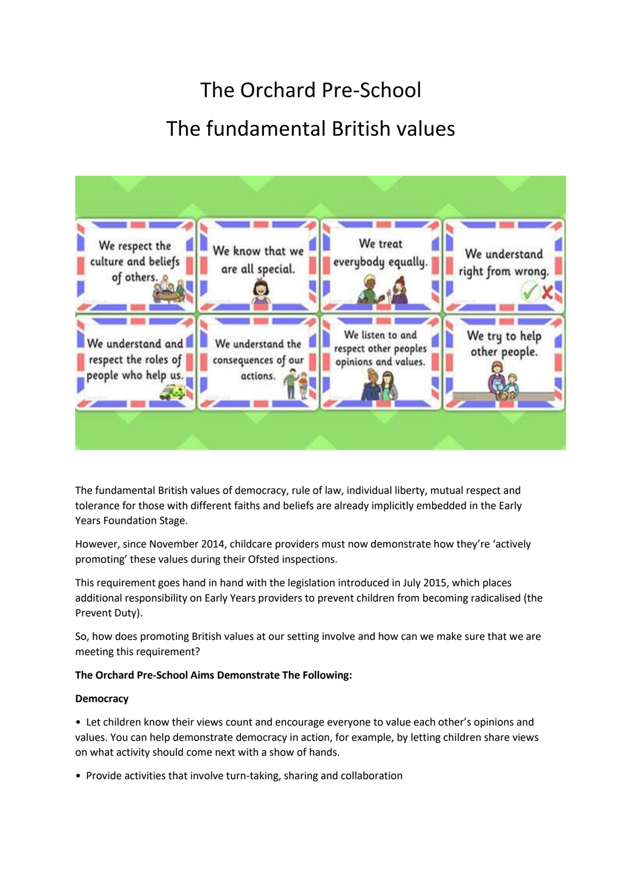# The Orchard Pre-School The fundamental British values



The fundamental British values of democracy, rule of law, individual liberty, mutual respect and tolerance for those with different faiths and beliefs are already implicitly embedded in the Early Years Foundation Stage.

However, since November 2014, childcare providers must now demonstrate how they're 'actively promoting' these values during their Ofsted inspections.

This requirement goes hand in hand with the legislation introduced in July 2015, which places additional responsibility on Early Years providers to prevent children from becoming radicalised (the Prevent Duty).

So, how does promoting British values at our setting involve and how can we make sure that we are meeting this requirement?

## **The Orchard Pre-School Aims Demonstrate The Following:**

### **Democracy**

• Let children know their views count and encourage everyone to value each other's opinions and values. You can help demonstrate democracy in action, for example, by letting children share views on what activity should come next with a show of hands.

• Provide activities that involve turn-taking, sharing and collaboration